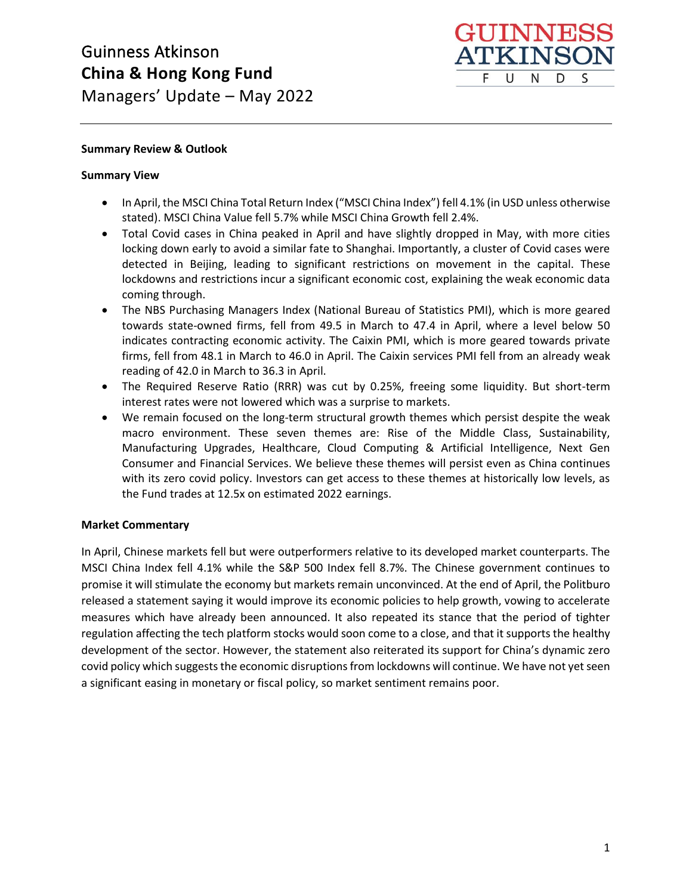

## **Summary Review & Outlook**

## **Summary View**

- In April, the MSCI China Total Return Index ("MSCI China Index") fell 4.1% (in USD unless otherwise stated). MSCI China Value fell 5.7% while MSCI China Growth fell 2.4%.
- Total Covid cases in China peaked in April and have slightly dropped in May, with more cities locking down early to avoid a similar fate to Shanghai. Importantly, a cluster of Covid cases were detected in Beijing, leading to significant restrictions on movement in the capital. These lockdowns and restrictions incur a significant economic cost, explaining the weak economic data coming through.
- The NBS Purchasing Managers Index (National Bureau of Statistics PMI), which is more geared towards state-owned firms, fell from 49.5 in March to 47.4 in April, where a level below 50 indicates contracting economic activity. The Caixin PMI, which is more geared towards private firms, fell from 48.1 in March to 46.0 in April. The Caixin services PMI fell from an already weak reading of 42.0 in March to 36.3 in April.
- The Required Reserve Ratio (RRR) was cut by 0.25%, freeing some liquidity. But short-term interest rates were not lowered which was a surprise to markets.
- We remain focused on the long-term structural growth themes which persist despite the weak macro environment. These seven themes are: Rise of the Middle Class, Sustainability, Manufacturing Upgrades, Healthcare, Cloud Computing & Artificial Intelligence, Next Gen Consumer and Financial Services. We believe these themes will persist even as China continues with its zero covid policy. Investors can get access to these themes at historically low levels, as the Fund trades at 12.5x on estimated 2022 earnings.

## **Market Commentary**

In April, Chinese markets fell but were outperformers relative to its developed market counterparts. The MSCI China Index fell 4.1% while the S&P 500 Index fell 8.7%. The Chinese government continues to promise it will stimulate the economy but markets remain unconvinced. At the end of April, the Politburo released a statement saying it would improve its economic policies to help growth, vowing to accelerate measures which have already been announced. It also repeated its stance that the period of tighter regulation affecting the tech platform stocks would soon come to a close, and that it supports the healthy development of the sector. However, the statement also reiterated its support for China's dynamic zero covid policy which suggests the economic disruptions from lockdowns will continue. We have not yet seen a significant easing in monetary or fiscal policy, so market sentiment remains poor.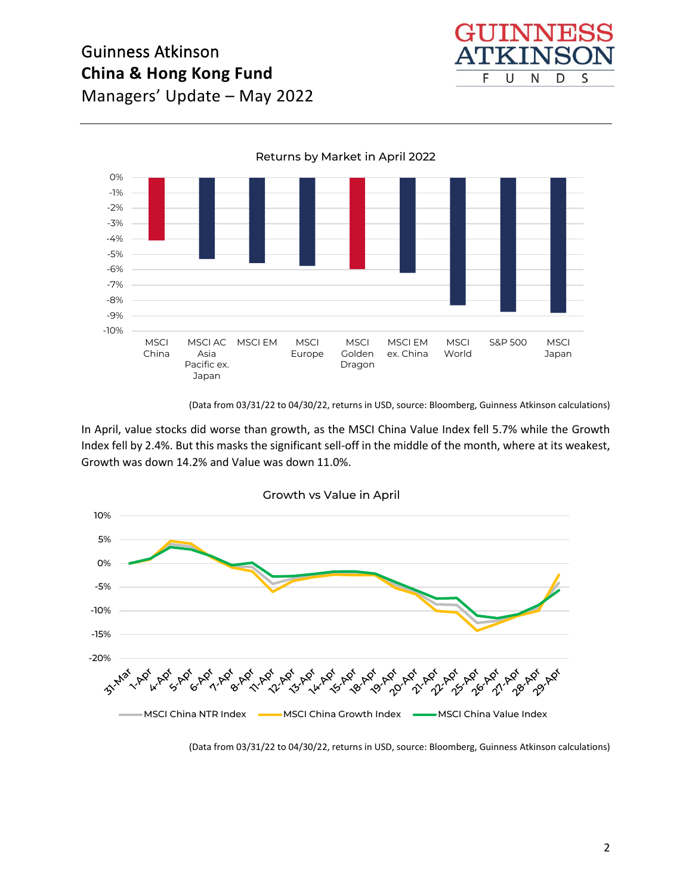

-10% -9% -8% -7% -6% -5% -4% -3% -2% -1% 0% MSCI China MSCI AC MSCI EM MSCI Asia Pacific ex. Japan Europe **MSCI** Golden Dragon MSCI EM ex. China MSCI World S&P 500 MSCI Japan Returns by Market in April 2022

(Data from 03/31/22 to 04/30/22, returns in USD, source: Bloomberg, Guinness Atkinson calculations)

In April, value stocks did worse than growth, as the MSCI China Value Index fell 5.7% while the Growth Index fell by 2.4%. But this masks the significant sell-off in the middle of the month, where at its weakest, Growth was down 14.2% and Value was down 11.0%.



(Data from 03/31/22 to 04/30/22, returns in USD, source: Bloomberg, Guinness Atkinson calculations)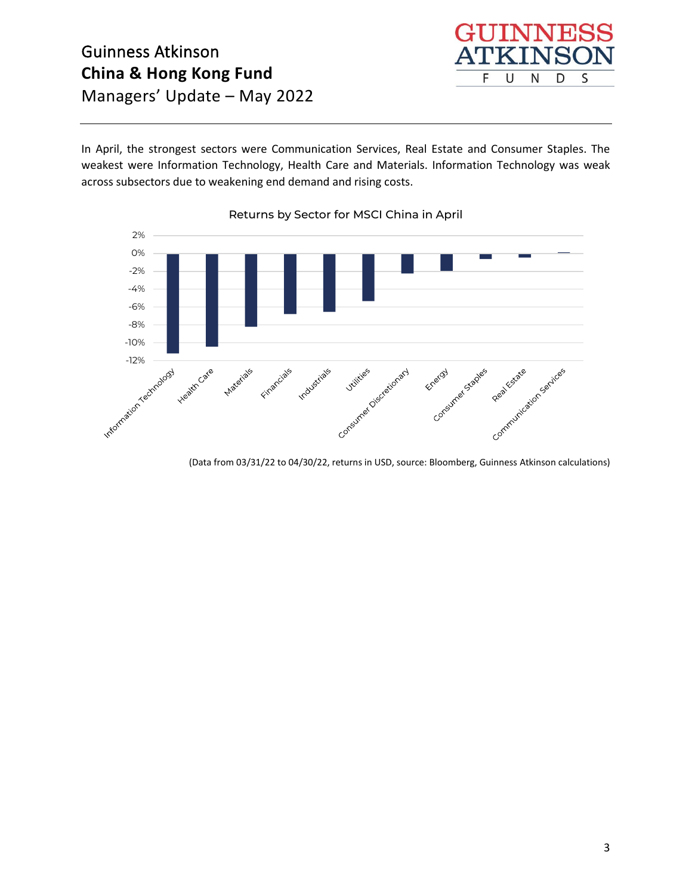In April, the strongest sectors were Communication Services, Real Estate and Consumer Staples. The weakest were Information Technology, Health Care and Materials. Information Technology was weak across subsectors due to weakening end demand and rising costs.

INN

N

S

D

F

U



(Data from 03/31/22 to 04/30/22, returns in USD, source: Bloomberg, Guinness Atkinson calculations)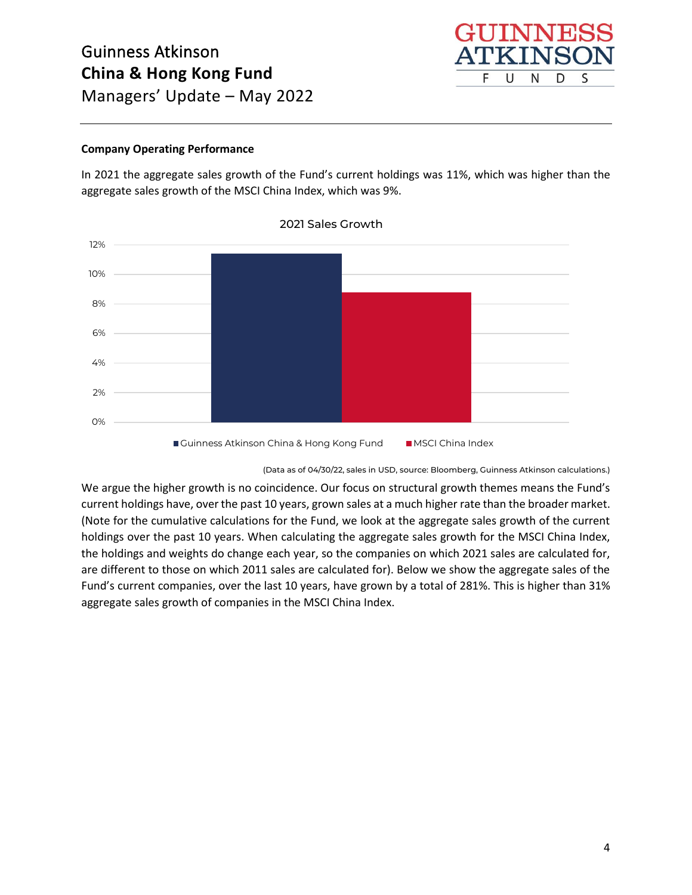

## **Company Operating Performance**

In 2021 the aggregate sales growth of the Fund's current holdings was 11%, which was higher than the aggregate sales growth of the MSCI China Index, which was 9%.



#### 2021 Sales Growth

(Data as of 04/30/22, sales in USD, source: Bloomberg, Guinness Atkinson calculations.)

We argue the higher growth is no coincidence. Our focus on structural growth themes means the Fund's current holdings have, over the past 10 years, grown sales at a much higher rate than the broader market. (Note for the cumulative calculations for the Fund, we look at the aggregate sales growth of the current holdings over the past 10 years. When calculating the aggregate sales growth for the MSCI China Index, the holdings and weights do change each year, so the companies on which 2021 sales are calculated for, are different to those on which 2011 sales are calculated for). Below we show the aggregate sales of the Fund's current companies, over the last 10 years, have grown by a total of 281%. This is higher than 31% aggregate sales growth of companies in the MSCI China Index.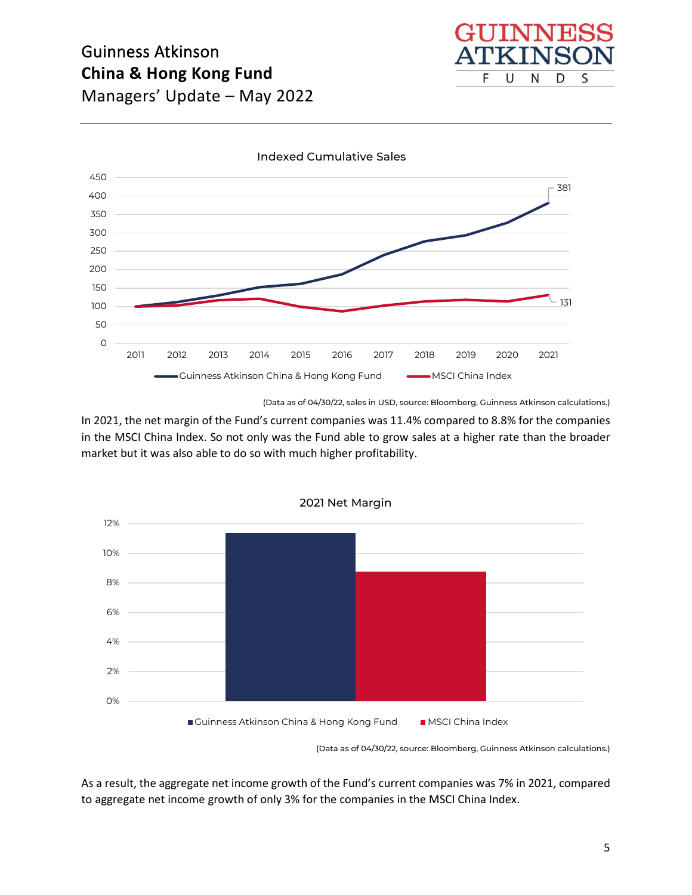



(Data as of 04/30/22, sales in USD, source: Bloomberg, Guinness Atkinson calculations.)

In 2021, the net margin of the Fund's current companies was 11.4% compared to 8.8% for the companies in the MSCI China Index. So not only was the Fund able to grow sales at a higher rate than the broader market but it was also able to do so with much higher profitability.



(Data as of 04/30/22, source: Bloomberg, Guinness Atkinson calculations.)

As a result, the aggregate net income growth of the Fund's current companies was 7% in 2021, compared to aggregate net income growth of only 3% for the companies in the MSCI China Index.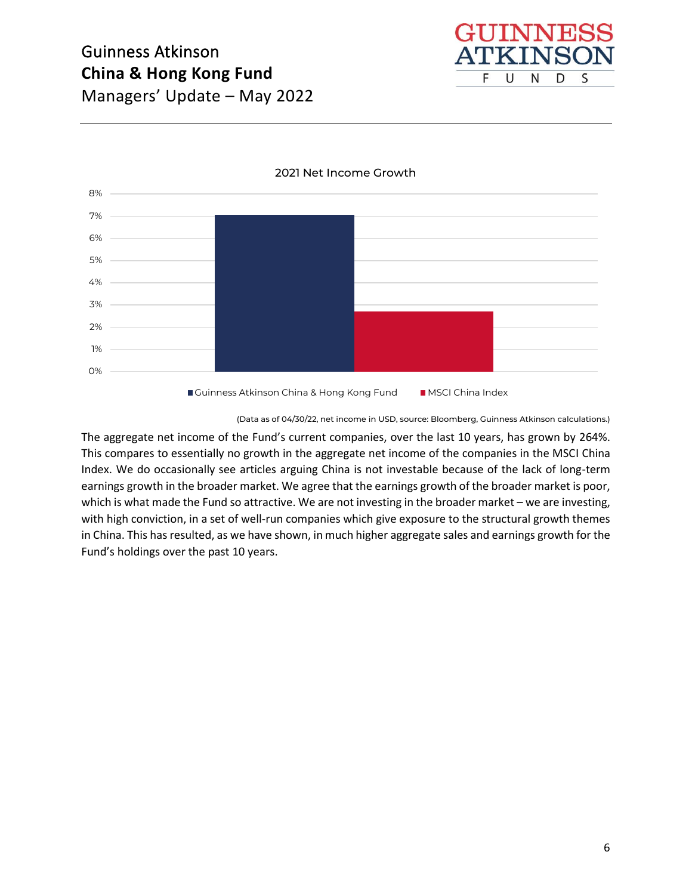



2021 Net Income Growth

(Data as of 04/30/22, net income in USD, source: Bloomberg, Guinness Atkinson calculations.)

The aggregate net income of the Fund's current companies, over the last 10 years, has grown by 264%. This compares to essentially no growth in the aggregate net income of the companies in the MSCI China Index. We do occasionally see articles arguing China is not investable because of the lack of long-term earnings growth in the broader market. We agree that the earnings growth of the broader market is poor, which is what made the Fund so attractive. We are not investing in the broader market – we are investing, with high conviction, in a set of well-run companies which give exposure to the structural growth themes in China. This has resulted, as we have shown, in much higher aggregate sales and earnings growth for the Fund's holdings over the past 10 years.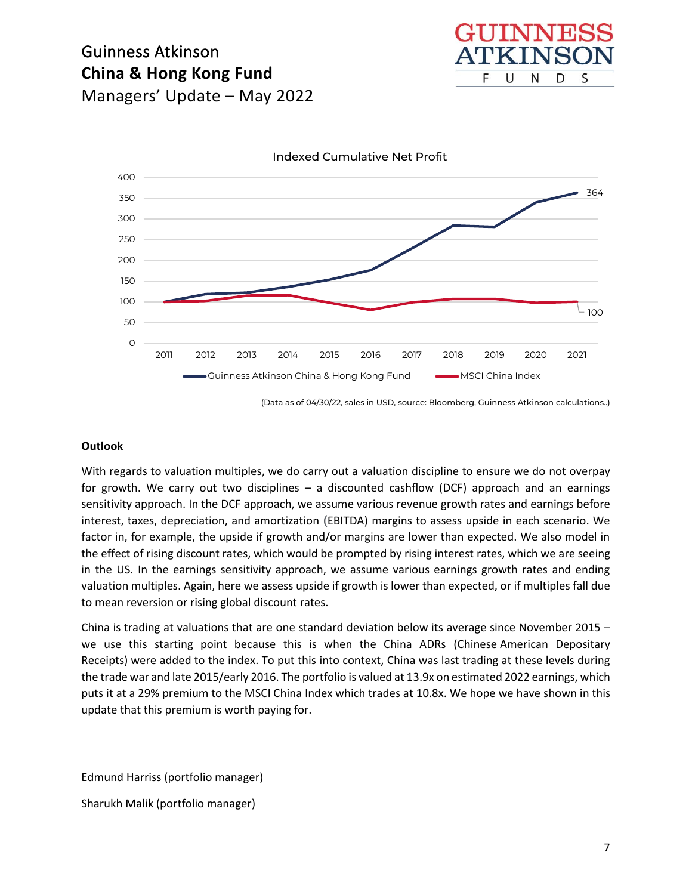



(Data as of 04/30/22, sales in USD, source: Bloomberg, Guinness Atkinson calculations..)

#### **Outlook**

With regards to valuation multiples, we do carry out a valuation discipline to ensure we do not overpay for growth. We carry out two disciplines – a discounted cashflow (DCF) approach and an earnings sensitivity approach. In the DCF approach, we assume various revenue growth rates and earnings before interest, taxes, depreciation, and amortization **(**EBITDA) margins to assess upside in each scenario. We factor in, for example, the upside if growth and/or margins are lower than expected. We also model in the effect of rising discount rates, which would be prompted by rising interest rates, which we are seeing in the US. In the earnings sensitivity approach, we assume various earnings growth rates and ending valuation multiples. Again, here we assess upside if growth is lower than expected, or if multiples fall due to mean reversion or rising global discount rates.

China is trading at valuations that are one standard deviation below its average since November 2015 – we use this starting point because this is when the China ADRs (Chinese American Depositary Receipts) were added to the index. To put this into context, China was last trading at these levels during the trade war and late 2015/early 2016. The portfolio is valued at 13.9x on estimated 2022 earnings, which puts it at a 29% premium to the MSCI China Index which trades at 10.8x. We hope we have shown in this update that this premium is worth paying for.

Edmund Harriss (portfolio manager)

Sharukh Malik (portfolio manager)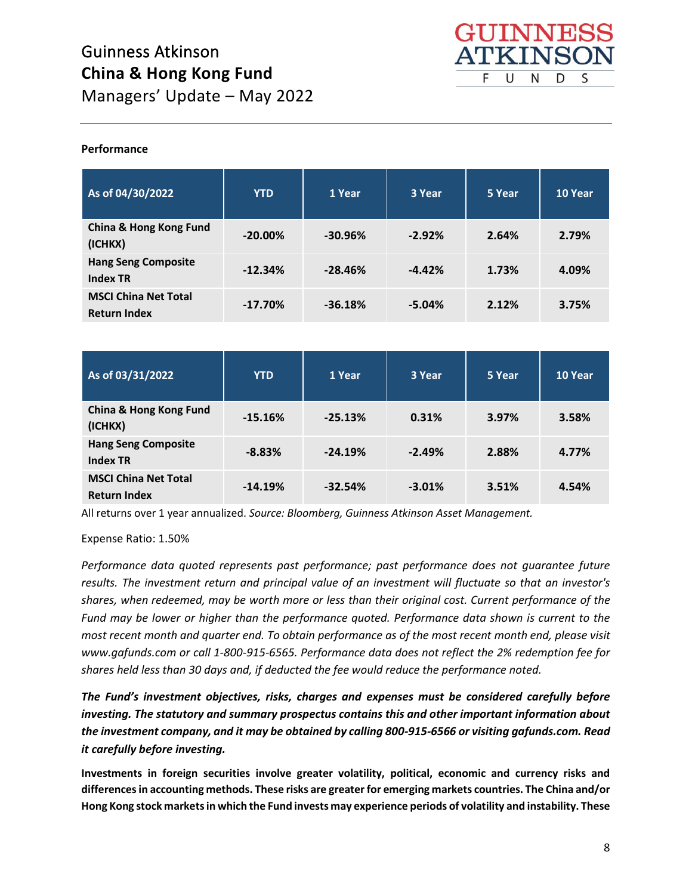

## **Performance**

| As of 04/30/2022                                   | <b>YTD</b> | 1 Year    | 3 Year   | 5 Year | 10 Year |
|----------------------------------------------------|------------|-----------|----------|--------|---------|
| China & Hong Kong Fund<br>(ICHKX)                  | $-20.00\%$ | $-30.96%$ | $-2.92%$ | 2.64%  | 2.79%   |
| <b>Hang Seng Composite</b><br><b>Index TR</b>      | $-12.34%$  | $-28.46%$ | $-4.42%$ | 1.73%  | 4.09%   |
| <b>MSCI China Net Total</b><br><b>Return Index</b> | $-17.70%$  | $-36.18%$ | $-5.04%$ | 2.12%  | 3.75%   |

| As of 03/31/2022                                   | <b>YTD</b> | 1 Year    | 3 Year   | 5 Year | 10 Year |
|----------------------------------------------------|------------|-----------|----------|--------|---------|
| <b>China &amp; Hong Kong Fund</b><br>(ICHKX)       | $-15.16%$  | $-25.13%$ | 0.31%    | 3.97%  | 3.58%   |
| <b>Hang Seng Composite</b><br><b>Index TR</b>      | $-8.83%$   | $-24.19%$ | $-2.49%$ | 2.88%  | 4.77%   |
| <b>MSCI China Net Total</b><br><b>Return Index</b> | $-14.19%$  | $-32.54%$ | $-3.01%$ | 3.51%  | 4.54%   |

All returns over 1 year annualized. *Source: Bloomberg, Guinness Atkinson Asset Management.*

Expense Ratio: 1.50%

*Performance data quoted represents past performance; past performance does not guarantee future results. The investment return and principal value of an investment will fluctuate so that an investor's shares, when redeemed, may be worth more or less than their original cost. Current performance of the Fund may be lower or higher than the performance quoted. Performance data shown is current to the most recent month and quarter end. To obtain performance as of the most recent month end, please visit www.gafunds.com or call 1-800-915-6565. Performance data does not reflect the 2% redemption fee for shares held less than 30 days and, if deducted the fee would reduce the performance noted.*

*The Fund's investment objectives, risks, charges and expenses must be considered carefully before investing. The statutory and summary prospectus contains this and other important information about the investment company, and it may be obtained by calling 800-915-6566 or visiting gafunds.com. Read it carefully before investing.*

**Investments in foreign securities involve greater volatility, political, economic and currency risks and differences in accounting methods. These risks are greater for emerging markets countries. The China and/or Hong Kong stock markets in which the Fund invests may experience periods of volatility and instability. These**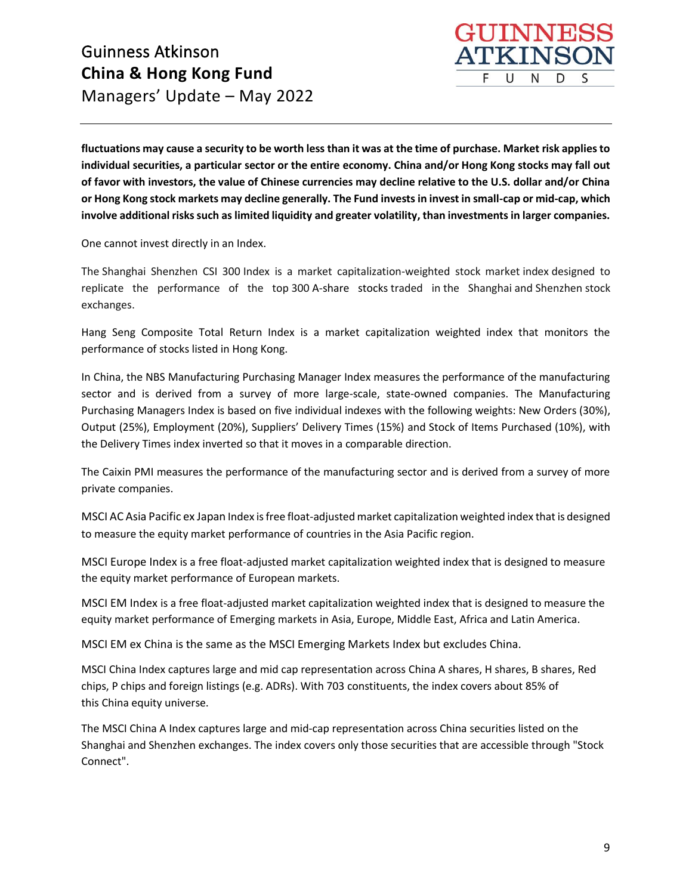

**fluctuations may cause a security to be worth less than it was at the time of purchase. Market risk applies to individual securities, a particular sector or the entire economy. China and/or Hong Kong stocks may fall out of favor with investors, the value of Chinese currencies may decline relative to the U.S. dollar and/or China or Hong Kong stock markets may decline generally. The Fund invests in invest in small-cap or mid-cap, which involve additional risks such as limited liquidity and greater volatility, than investments in larger companies.**

One cannot invest directly in an Index.

The Shanghai Shenzhen CSI 300 Index is a market capitalization-weighted stock market index designed to replicate the performance of the top 300 A-share stocks traded in the Shanghai and Shenzhen stock exchanges.

Hang Seng Composite Total Return Index is a market capitalization weighted index that monitors the performance of stocks listed in Hong Kong.

In China, the NBS Manufacturing Purchasing Manager Index measures the performance of the manufacturing sector and is derived from a survey of more large-scale, state-owned companies. The Manufacturing Purchasing Managers Index is based on five individual indexes with the following weights: New Orders (30%), Output (25%), Employment (20%), Suppliers' Delivery Times (15%) and Stock of Items Purchased (10%), with the Delivery Times index inverted so that it moves in a comparable direction.

The Caixin PMI measures the performance of the manufacturing sector and is derived from a survey of more private companies.

MSCI AC Asia Pacific ex Japan Index is free float-adjusted market capitalization weighted index that is designed to measure the equity market performance of countries in the Asia Pacific region.

MSCI Europe Index is a free float-adjusted market capitalization weighted index that is designed to measure the equity market performance of European markets.

MSCI EM Index is a free float-adjusted market capitalization weighted index that is designed to measure the equity market performance of Emerging markets in Asia, Europe, Middle East, Africa and Latin America.

MSCI EM ex China is the same as the MSCI Emerging Markets Index but excludes China.

MSCI China Index captures large and mid cap representation across China A shares, H shares, B shares, Red chips, P chips and foreign listings (e.g. ADRs). With 703 constituents, the index covers about 85% of this China equity universe.

The MSCI China A Index captures large and mid-cap representation across China securities listed on the Shanghai and Shenzhen exchanges. The index covers only those securities that are accessible through "Stock Connect".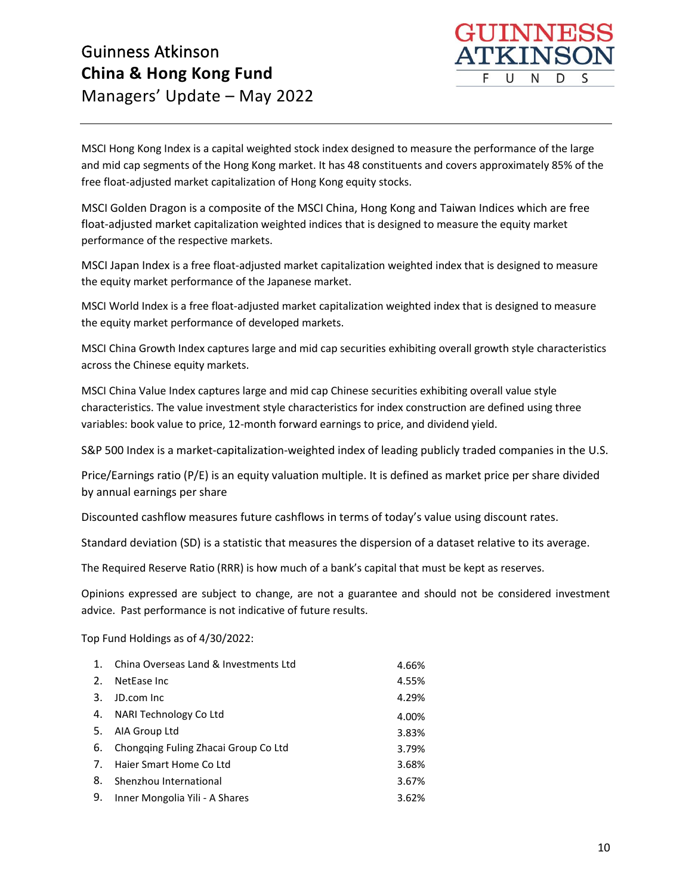

MSCI Hong Kong Index is a capital weighted stock index designed to measure the performance of the large and mid cap segments of the Hong Kong market. It has 48 constituents and covers approximately 85% of the free float-adjusted market capitalization of Hong Kong equity stocks.

MSCI Golden Dragon is a composite of the MSCI China, Hong Kong and Taiwan Indices which are free float-adjusted market capitalization weighted indices that is designed to measure the equity market performance of the respective markets.

MSCI Japan Index is a free float-adjusted market capitalization weighted index that is designed to measure the equity market performance of the Japanese market.

MSCI World Index is a free float-adjusted market capitalization weighted index that is designed to measure the equity market performance of developed markets.   

MSCI China Growth Index captures large and mid cap securities exhibiting overall growth style characteristics across the Chinese equity markets.

MSCI China Value Index captures large and mid cap Chinese securities exhibiting overall value style characteristics. The value investment style characteristics for index construction are defined using three variables: book value to price, 12-month forward earnings to price, and dividend yield.

S&P 500 Index is a market-capitalization-weighted index of leading publicly traded companies in the U.S.

Price/Earnings ratio (P/E) is an equity valuation multiple. It is defined as market price per share divided by annual earnings per share

Discounted cashflow measures future cashflows in terms of today's value using discount rates.

Standard deviation (SD) is a statistic that measures the dispersion of a dataset relative to its average.

The Required Reserve Ratio (RRR) is how much of a bank's capital that must be kept as reserves.

Opinions expressed are subject to change, are not a guarantee and should not be considered investment advice. Past performance is not indicative of future results.

Top Fund Holdings as of 4/30/2022:

| 1.                    | China Overseas Land & Investments Ltd | 4.66% |
|-----------------------|---------------------------------------|-------|
| $\mathcal{P}_{\cdot}$ | NetEase Inc.                          | 4.55% |
| 3.                    | JD.com Inc                            | 4.29% |
| 4.                    | NARI Technology Co Ltd                | 4.00% |
| 5.                    | AIA Group Ltd                         | 3.83% |
| 6.                    | Chongqing Fuling Zhacai Group Co Ltd  | 3.79% |
| 7.                    | Haier Smart Home Co Ltd               | 3.68% |
| 8.                    | Shenzhou International                | 3.67% |
| 9.                    | Inner Mongolia Yili - A Shares        | 3.62% |